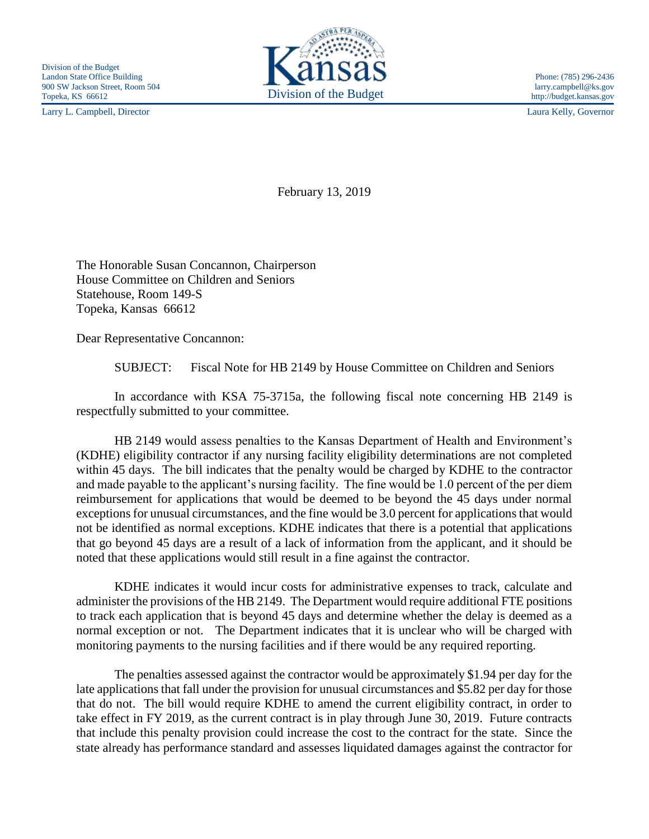Larry L. Campbell, Director Laura Kelly, Governor



February 13, 2019

The Honorable Susan Concannon, Chairperson House Committee on Children and Seniors Statehouse, Room 149-S Topeka, Kansas 66612

Dear Representative Concannon:

SUBJECT: Fiscal Note for HB 2149 by House Committee on Children and Seniors

In accordance with KSA 75-3715a, the following fiscal note concerning HB 2149 is respectfully submitted to your committee.

HB 2149 would assess penalties to the Kansas Department of Health and Environment's (KDHE) eligibility contractor if any nursing facility eligibility determinations are not completed within 45 days. The bill indicates that the penalty would be charged by KDHE to the contractor and made payable to the applicant's nursing facility. The fine would be 1.0 percent of the per diem reimbursement for applications that would be deemed to be beyond the 45 days under normal exceptions for unusual circumstances, and the fine would be 3.0 percent for applications that would not be identified as normal exceptions. KDHE indicates that there is a potential that applications that go beyond 45 days are a result of a lack of information from the applicant, and it should be noted that these applications would still result in a fine against the contractor.

KDHE indicates it would incur costs for administrative expenses to track, calculate and administer the provisions of the HB 2149. The Department would require additional FTE positions to track each application that is beyond 45 days and determine whether the delay is deemed as a normal exception or not. The Department indicates that it is unclear who will be charged with monitoring payments to the nursing facilities and if there would be any required reporting.

The penalties assessed against the contractor would be approximately \$1.94 per day for the late applications that fall under the provision for unusual circumstances and \$5.82 per day for those that do not. The bill would require KDHE to amend the current eligibility contract, in order to take effect in FY 2019, as the current contract is in play through June 30, 2019. Future contracts that include this penalty provision could increase the cost to the contract for the state. Since the state already has performance standard and assesses liquidated damages against the contractor for